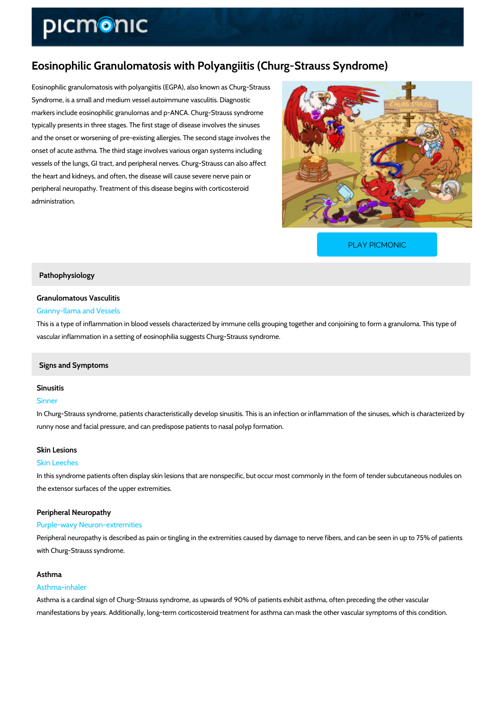# Eosinophilic Granulomatosis with Polyangiitis (Churg-Stra

Eosinophilic granulomatosis with polyangiitis (EGPA), also known as Churg-Strauss Syndrome, is a small and medium vessel autoimmune vasculitis. Diagnostic markers include eosinophilic granulomas and p-ANCA. Churg-Strauss syndrome typically presents in three stages. The first stage of disease involves the sinuses and the onset or worsening of pre-existing allergies. The second stage involves the onset of acute asthma. The third stage involves various organ systems including vessels of the lungs, GI tract, and peripheral nerves. Churg-Strauss can also affect the heart and kidneys, and often, the disease will cause severe nerve pain or peripheral neuropathy. Treatment of this disease begins with corticosteroid administration.

[PLAY PICMONIC](https://www.picmonic.com/learn/eosinophilic-granulomatosis-with-polyangiitis-churg-strauss-syndrome_6055?utm_source=downloadable_content&utm_medium=distributedcontent&utm_campaign=pathways_pdf&utm_content=Eosinophilic Granulomatosis with Polyangiitis (Churg-Strauss Syndrome)&utm_ad_group=leads&utm_market=all)

# Pathophysiology

# Granulomatous Vasculitis Granny-llama and Vessels

# This is a type of inflammation in blood vessels characterized by immune cells grouping togeth vascular inflammation in a setting of eosinophilia suggests Churg-Strauss syndrome.

# Signs and Symptoms

# Sinusitis

# Sinner

In Churg-Strauss syndrome, patients characteristically develop sinusitis. This is an infection runny nose and facial pressure, and can predispose patients to nasal polyp formation.

# Skin Lesions

### Skin Leeches

In this syndrome patients often display skin lesions that are nonspecific, but occur most comr the extensor surfaces of the upper extremities.

### Peripheral Neuropathy

### Purple-wavy Neuron-extremities

Peripheral neuropathy is described as pain or tingling in the extremities caused by damage to with Churg-Strauss syndrome.

# Asthma

# Asthma-inhaler

Asthma is a cardinal sign of Churg-Strauss syndrome, as upwards of 90% of patients exhibit a manifestations by years. Additionally, long-term corticosteroid treatment for asthma can mask